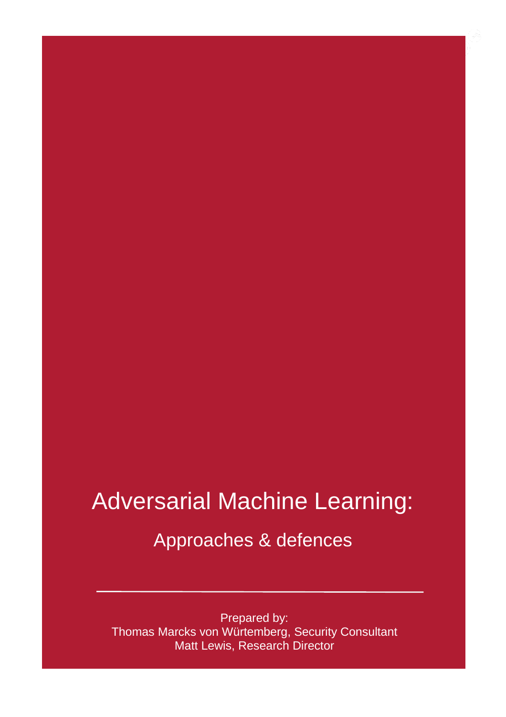### Adversarial Machine Learning:

### Approaches & defences

Prepared by: Thomas Marcks von Würtemberg, Security Consultant Matt Lewis, Research Director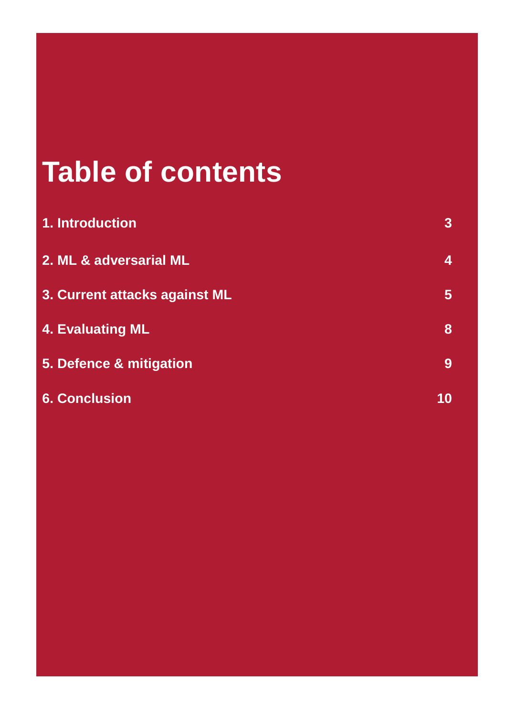### **Table of contents**

Ξ

| 1. Introduction                                                             | $\overline{3}$ |                         |    |
|-----------------------------------------------------------------------------|----------------|-------------------------|----|
| 2. ML & adversarial ML<br>3. Current attacks against ML<br>4. Evaluating ML | 4<br>5<br>8    |                         |    |
|                                                                             |                | 5. Defence & mitigation | 9  |
|                                                                             |                | <b>6. Conclusion</b>    | 10 |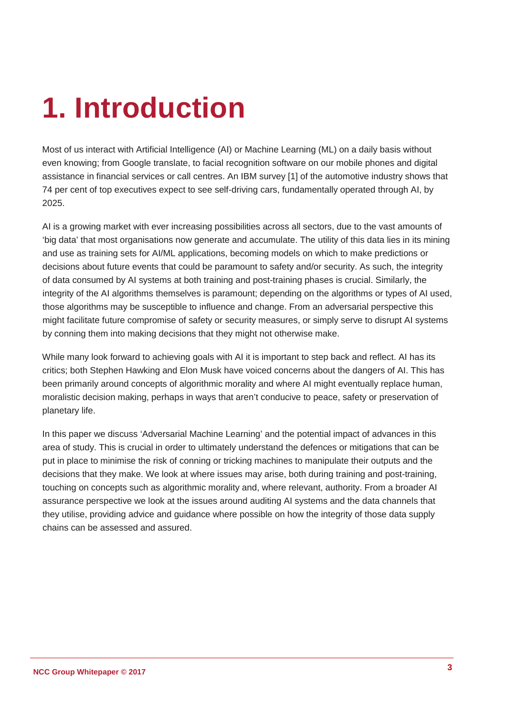### <span id="page-2-0"></span>**1. Introduction**

Most of us interact with Artificial Intelligence (AI) or Machine Learning (ML) on a daily basis without even knowing; from Google translate, to facial recognition software on our mobile phones and digital assistance in financial services or call centres. An IBM survey [1] of the automotive industry shows that 74 per cent of top executives expect to see self-driving cars, fundamentally operated through AI, by 2025.

AI is a growing market with ever increasing possibilities across all sectors, due to the vast amounts of 'big data' that most organisations now generate and accumulate. The utility of this data lies in its mining and use as training sets for AI/ML applications, becoming models on which to make predictions or decisions about future events that could be paramount to safety and/or security. As such, the integrity of data consumed by AI systems at both training and post-training phases is crucial. Similarly, the integrity of the AI algorithms themselves is paramount; depending on the algorithms or types of AI used, those algorithms may be susceptible to influence and change. From an adversarial perspective this might facilitate future compromise of safety or security measures, or simply serve to disrupt AI systems by conning them into making decisions that they might not otherwise make.

While many look forward to achieving goals with AI it is important to step back and reflect. AI has its critics; both Stephen Hawking and Elon Musk have voiced concerns about the dangers of AI. This has been primarily around concepts of algorithmic morality and where AI might eventually replace human, moralistic decision making, perhaps in ways that aren't conducive to peace, safety or preservation of planetary life.

In this paper we discuss 'Adversarial Machine Learning' and the potential impact of advances in this area of study. This is crucial in order to ultimately understand the defences or mitigations that can be put in place to minimise the risk of conning or tricking machines to manipulate their outputs and the decisions that they make. We look at where issues may arise, both during training and post-training, touching on concepts such as algorithmic morality and, where relevant, authority. From a broader AI assurance perspective we look at the issues around auditing AI systems and the data channels that they utilise, providing advice and guidance where possible on how the integrity of those data supply chains can be assessed and assured.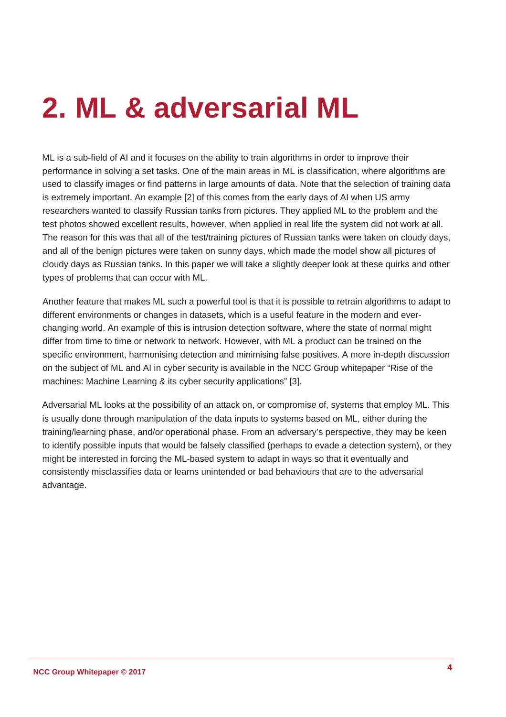### <span id="page-3-0"></span>**2. ML & adversarial ML**

ML is a sub-field of AI and it focuses on the ability to train algorithms in order to improve their performance in solving a set tasks. One of the main areas in ML is classification, where algorithms are used to classify images or find patterns in large amounts of data. Note that the selection of training data is extremely important. An example [2] of this comes from the early days of AI when US army researchers wanted to classify Russian tanks from pictures. They applied ML to the problem and the test photos showed excellent results, however, when applied in real life the system did not work at all. The reason for this was that all of the test/training pictures of Russian tanks were taken on cloudy days, and all of the benign pictures were taken on sunny days, which made the model show all pictures of cloudy days as Russian tanks. In this paper we will take a slightly deeper look at these quirks and other types of problems that can occur with ML.

Another feature that makes ML such a powerful tool is that it is possible to retrain algorithms to adapt to different environments or changes in datasets, which is a useful feature in the modern and everchanging world. An example of this is intrusion detection software, where the state of normal might differ from time to time or network to network. However, with ML a product can be trained on the specific environment, harmonising detection and minimising false positives. A more in-depth discussion on the subject of ML and AI in cyber security is available in the NCC Group whitepaper "Rise of the machines: Machine Learning & its cyber security applications" [3].

Adversarial ML looks at the possibility of an attack on, or compromise of, systems that employ ML. This is usually done through manipulation of the data inputs to systems based on ML, either during the training/learning phase, and/or operational phase. From an adversary's perspective, they may be keen to identify possible inputs that would be falsely classified (perhaps to evade a detection system), or they might be interested in forcing the ML-based system to adapt in ways so that it eventually and consistently misclassifies data or learns unintended or bad behaviours that are to the adversarial advantage.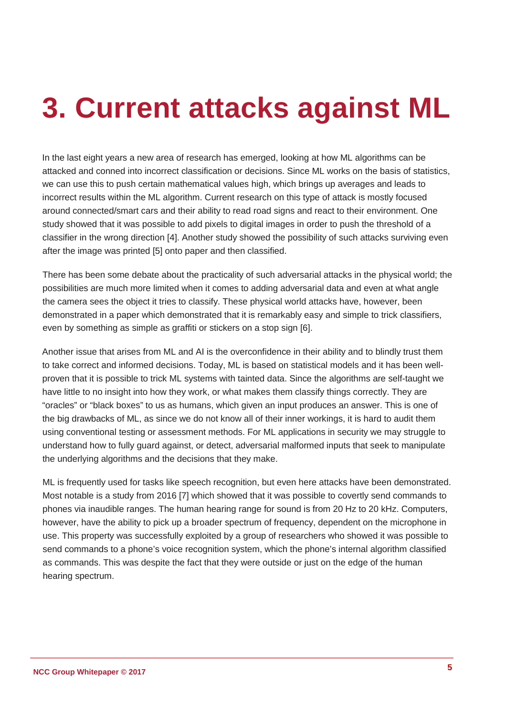### <span id="page-4-0"></span>**3. Current attacks against ML**

In the last eight years a new area of research has emerged, looking at how ML algorithms can be attacked and conned into incorrect classification or decisions. Since ML works on the basis of statistics, we can use this to push certain mathematical values high, which brings up averages and leads to incorrect results within the ML algorithm. Current research on this type of attack is mostly focused around connected/smart cars and their ability to read road signs and react to their environment. One study showed that it was possible to add pixels to digital images in order to push the threshold of a classifier in the wrong direction [4]. Another study showed the possibility of such attacks surviving even after the image was printed [5] onto paper and then classified.

There has been some debate about the practicality of such adversarial attacks in the physical world; the possibilities are much more limited when it comes to adding adversarial data and even at what angle the camera sees the object it tries to classify. These physical world attacks have, however, been demonstrated in a paper which demonstrated that it is remarkably easy and simple to trick classifiers, even by something as simple as graffiti or stickers on a stop sign [6].

Another issue that arises from ML and AI is the overconfidence in their ability and to blindly trust them to take correct and informed decisions. Today, ML is based on statistical models and it has been wellproven that it is possible to trick ML systems with tainted data. Since the algorithms are self-taught we have little to no insight into how they work, or what makes them classify things correctly. They are "oracles" or "black boxes" to us as humans, which given an input produces an answer. This is one of the big drawbacks of ML, as since we do not know all of their inner workings, it is hard to audit them using conventional testing or assessment methods. For ML applications in security we may struggle to understand how to fully guard against, or detect, adversarial malformed inputs that seek to manipulate the underlying algorithms and the decisions that they make.

ML is frequently used for tasks like speech recognition, but even here attacks have been demonstrated. Most notable is a study from 2016 [7] which showed that it was possible to covertly send commands to phones via inaudible ranges. The human hearing range for sound is from 20 Hz to 20 kHz. Computers, however, have the ability to pick up a broader spectrum of frequency, dependent on the microphone in use. This property was successfully exploited by a group of researchers who showed it was possible to send commands to a phone's voice recognition system, which the phone's internal algorithm classified as commands. This was despite the fact that they were outside or just on the edge of the human hearing spectrum.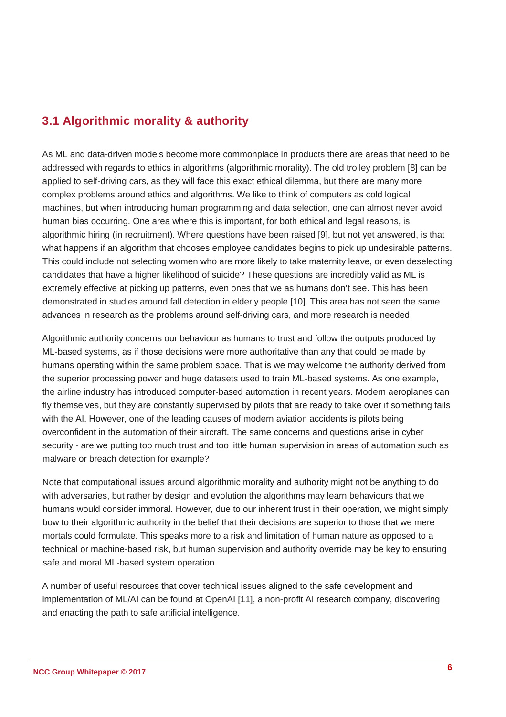#### **3.1 Algorithmic morality & authority**

As ML and data-driven models become more commonplace in products there are areas that need to be addressed with regards to ethics in algorithms (algorithmic morality). The old trolley problem [8] can be applied to self-driving cars, as they will face this exact ethical dilemma, but there are many more complex problems around ethics and algorithms. We like to think of computers as cold logical machines, but when introducing human programming and data selection, one can almost never avoid human bias occurring. One area where this is important, for both ethical and legal reasons, is algorithmic hiring (in recruitment). Where questions have been raised [9], but not yet answered, is that what happens if an algorithm that chooses employee candidates begins to pick up undesirable patterns. This could include not selecting women who are more likely to take maternity leave, or even deselecting candidates that have a higher likelihood of suicide? These questions are incredibly valid as ML is extremely effective at picking up patterns, even ones that we as humans don't see. This has been demonstrated in studies around fall detection in elderly people [10]. This area has not seen the same advances in research as the problems around self-driving cars, and more research is needed.

Algorithmic authority concerns our behaviour as humans to trust and follow the outputs produced by ML-based systems, as if those decisions were more authoritative than any that could be made by humans operating within the same problem space. That is we may welcome the authority derived from the superior processing power and huge datasets used to train ML-based systems. As one example, the airline industry has introduced computer-based automation in recent years. Modern aeroplanes can fly themselves, but they are constantly supervised by pilots that are ready to take over if something fails with the AI. However, one of the leading causes of modern aviation accidents is pilots being overconfident in the automation of their aircraft. The same concerns and questions arise in cyber security - are we putting too much trust and too little human supervision in areas of automation such as malware or breach detection for example?

Note that computational issues around algorithmic morality and authority might not be anything to do with adversaries, but rather by design and evolution the algorithms may learn behaviours that we humans would consider immoral. However, due to our inherent trust in their operation, we might simply bow to their algorithmic authority in the belief that their decisions are superior to those that we mere mortals could formulate. This speaks more to a risk and limitation of human nature as opposed to a technical or machine-based risk, but human supervision and authority override may be key to ensuring safe and moral ML-based system operation.

A number of useful resources that cover technical issues aligned to the safe development and implementation of ML/AI can be found at OpenAI [11], a non-profit AI research company, discovering and enacting the path to safe artificial intelligence.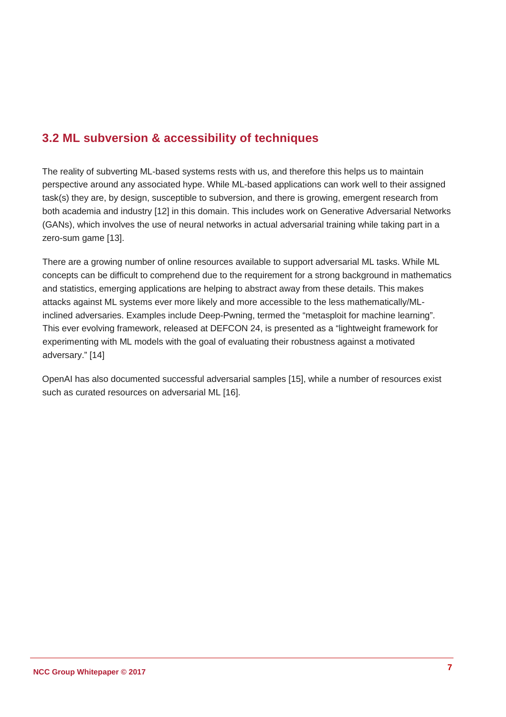#### **3.2 ML subversion & accessibility of techniques**

The reality of subverting ML-based systems rests with us, and therefore this helps us to maintain perspective around any associated hype. While ML-based applications can work well to their assigned task(s) they are, by design, susceptible to subversion, and there is growing, emergent research from both academia and industry [12] in this domain. This includes work on Generative Adversarial Networks (GANs), which involves the use of neural networks in actual adversarial training while taking part in a zero-sum game [13].

There are a growing number of online resources available to support adversarial ML tasks. While ML concepts can be difficult to comprehend due to the requirement for a strong background in mathematics and statistics, emerging applications are helping to abstract away from these details. This makes attacks against ML systems ever more likely and more accessible to the less mathematically/MLinclined adversaries. Examples include Deep-Pwning, termed the "metasploit for machine learning". This ever evolving framework, released at DEFCON 24, is presented as a "lightweight framework for experimenting with ML models with the goal of evaluating their robustness against a motivated adversary." [14]

OpenAI has also documented successful adversarial samples [15], while a number of resources exist such as curated resources on adversarial ML [16].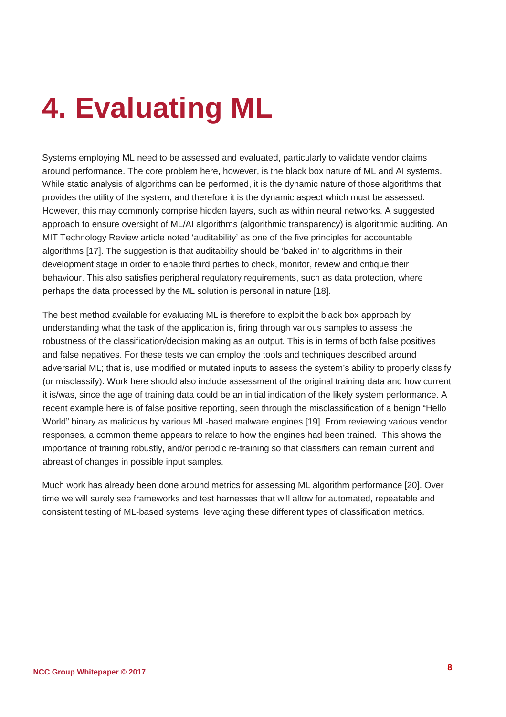# <span id="page-7-0"></span>**4. Evaluating ML**

Systems employing ML need to be assessed and evaluated, particularly to validate vendor claims around performance. The core problem here, however, is the black box nature of ML and AI systems. While static analysis of algorithms can be performed, it is the dynamic nature of those algorithms that provides the utility of the system, and therefore it is the dynamic aspect which must be assessed. However, this may commonly comprise hidden layers, such as within neural networks. A suggested approach to ensure oversight of ML/AI algorithms (algorithmic transparency) is algorithmic auditing. An MIT Technology Review article noted 'auditability' as one of the five principles for accountable algorithms [17]. The suggestion is that auditability should be 'baked in' to algorithms in their development stage in order to enable third parties to check, monitor, review and critique their behaviour. This also satisfies peripheral regulatory requirements, such as data protection, where perhaps the data processed by the ML solution is personal in nature [18].

The best method available for evaluating ML is therefore to exploit the black box approach by understanding what the task of the application is, firing through various samples to assess the robustness of the classification/decision making as an output. This is in terms of both false positives and false negatives. For these tests we can employ the tools and techniques described around adversarial ML; that is, use modified or mutated inputs to assess the system's ability to properly classify (or misclassify). Work here should also include assessment of the original training data and how current it is/was, since the age of training data could be an initial indication of the likely system performance. A recent example here is of false positive reporting, seen through the misclassification of a benign "Hello World" binary as malicious by various ML-based malware engines [19]. From reviewing various vendor responses, a common theme appears to relate to how the engines had been trained. This shows the importance of training robustly, and/or periodic re-training so that classifiers can remain current and abreast of changes in possible input samples.

Much work has already been done around metrics for assessing ML algorithm performance [20]. Over time we will surely see frameworks and test harnesses that will allow for automated, repeatable and consistent testing of ML-based systems, leveraging these different types of classification metrics.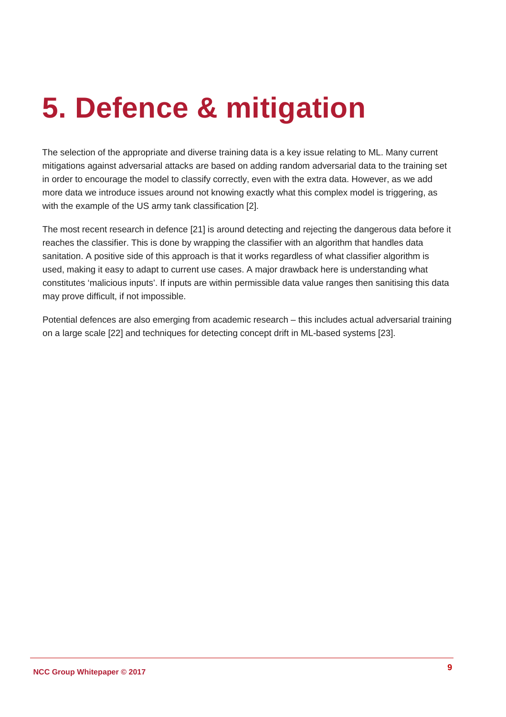## <span id="page-8-0"></span>**5. Defence & mitigation**

The selection of the appropriate and diverse training data is a key issue relating to ML. Many current mitigations against adversarial attacks are based on adding random adversarial data to the training set in order to encourage the model to classify correctly, even with the extra data. However, as we add more data we introduce issues around not knowing exactly what this complex model is triggering, as with the example of the US army tank classification [2].

The most recent research in defence [21] is around detecting and rejecting the dangerous data before it reaches the classifier. This is done by wrapping the classifier with an algorithm that handles data sanitation. A positive side of this approach is that it works regardless of what classifier algorithm is used, making it easy to adapt to current use cases. A major drawback here is understanding what constitutes 'malicious inputs'. If inputs are within permissible data value ranges then sanitising this data may prove difficult, if not impossible.

Potential defences are also emerging from academic research – this includes actual adversarial training on a large scale [22] and techniques for detecting concept drift in ML-based systems [23].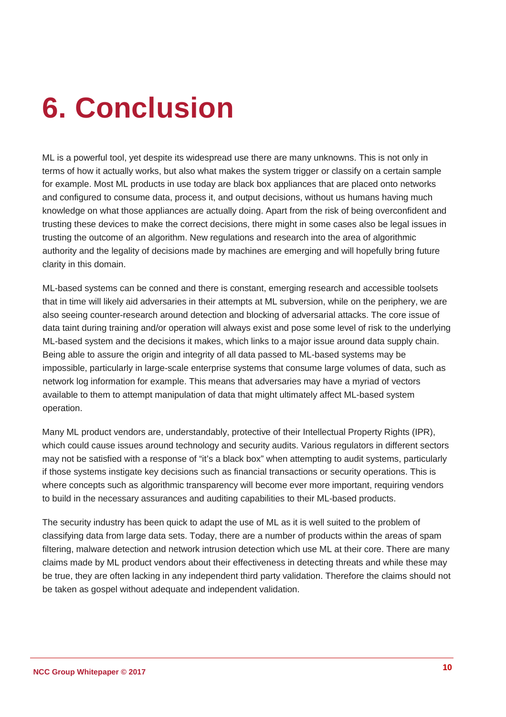## <span id="page-9-0"></span>**6. Conclusion**

ML is a powerful tool, yet despite its widespread use there are many unknowns. This is not only in terms of how it actually works, but also what makes the system trigger or classify on a certain sample for example. Most ML products in use today are black box appliances that are placed onto networks and configured to consume data, process it, and output decisions, without us humans having much knowledge on what those appliances are actually doing. Apart from the risk of being overconfident and trusting these devices to make the correct decisions, there might in some cases also be legal issues in trusting the outcome of an algorithm. New regulations and research into the area of algorithmic authority and the legality of decisions made by machines are emerging and will hopefully bring future clarity in this domain.

ML-based systems can be conned and there is constant, emerging research and accessible toolsets that in time will likely aid adversaries in their attempts at ML subversion, while on the periphery, we are also seeing counter-research around detection and blocking of adversarial attacks. The core issue of data taint during training and/or operation will always exist and pose some level of risk to the underlying ML-based system and the decisions it makes, which links to a major issue around data supply chain. Being able to assure the origin and integrity of all data passed to ML-based systems may be impossible, particularly in large-scale enterprise systems that consume large volumes of data, such as network log information for example. This means that adversaries may have a myriad of vectors available to them to attempt manipulation of data that might ultimately affect ML-based system operation.

Many ML product vendors are, understandably, protective of their Intellectual Property Rights (IPR), which could cause issues around technology and security audits. Various regulators in different sectors may not be satisfied with a response of "it's a black box" when attempting to audit systems, particularly if those systems instigate key decisions such as financial transactions or security operations. This is where concepts such as algorithmic transparency will become ever more important, requiring vendors to build in the necessary assurances and auditing capabilities to their ML-based products.

The security industry has been quick to adapt the use of ML as it is well suited to the problem of classifying data from large data sets. Today, there are a number of products within the areas of spam filtering, malware detection and network intrusion detection which use ML at their core. There are many claims made by ML product vendors about their effectiveness in detecting threats and while these may be true, they are often lacking in any independent third party validation. Therefore the claims should not be taken as gospel without adequate and independent validation.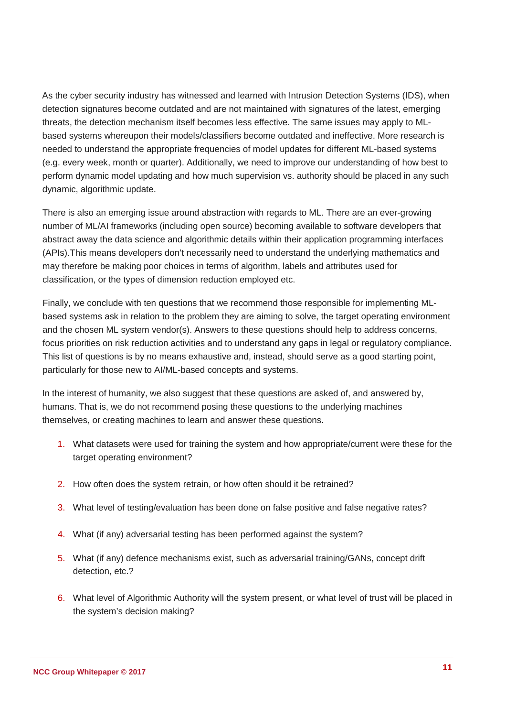As the cyber security industry has witnessed and learned with Intrusion Detection Systems (IDS), when detection signatures become outdated and are not maintained with signatures of the latest, emerging threats, the detection mechanism itself becomes less effective. The same issues may apply to MLbased systems whereupon their models/classifiers become outdated and ineffective. More research is needed to understand the appropriate frequencies of model updates for different ML-based systems (e.g. every week, month or quarter). Additionally, we need to improve our understanding of how best to perform dynamic model updating and how much supervision vs. authority should be placed in any such dynamic, algorithmic update.

There is also an emerging issue around abstraction with regards to ML. There are an ever-growing number of ML/AI frameworks (including open source) becoming available to software developers that abstract away the data science and algorithmic details within their application programming interfaces (APIs).This means developers don't necessarily need to understand the underlying mathematics and may therefore be making poor choices in terms of algorithm, labels and attributes used for classification, or the types of dimension reduction employed etc.

Finally, we conclude with ten questions that we recommend those responsible for implementing MLbased systems ask in relation to the problem they are aiming to solve, the target operating environment and the chosen ML system vendor(s). Answers to these questions should help to address concerns, focus priorities on risk reduction activities and to understand any gaps in legal or regulatory compliance. This list of questions is by no means exhaustive and, instead, should serve as a good starting point, particularly for those new to AI/ML-based concepts and systems.

In the interest of humanity, we also suggest that these questions are asked of, and answered by, humans. That is, we do not recommend posing these questions to the underlying machines themselves, or creating machines to learn and answer these questions.

- 1. What datasets were used for training the system and how appropriate/current were these for the target operating environment?
- 2. How often does the system retrain, or how often should it be retrained?
- 3. What level of testing/evaluation has been done on false positive and false negative rates?
- 4. What (if any) adversarial testing has been performed against the system?
- 5. What (if any) defence mechanisms exist, such as adversarial training/GANs, concept drift detection, etc.?
- 6. What level of Algorithmic Authority will the system present, or what level of trust will be placed in the system's decision making?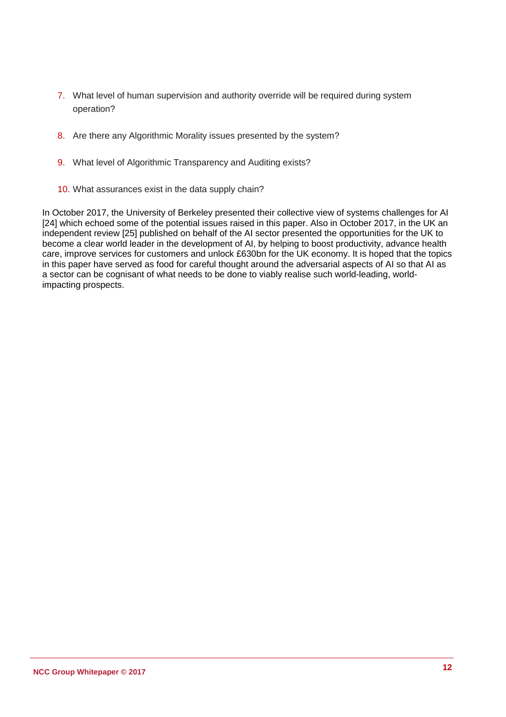- 7. What level of human supervision and authority override will be required during system operation?
- 8. Are there any Algorithmic Morality issues presented by the system?
- 9. What level of Algorithmic Transparency and Auditing exists?
- 10. What assurances exist in the data supply chain?

In October 2017, the University of Berkeley presented their collective view of systems challenges for AI [24] which echoed some of the potential issues raised in this paper. Also in October 2017, in the UK an independent review [25] published on behalf of the AI sector presented the opportunities for the UK to become a clear world leader in the development of AI, by helping to boost productivity, advance health care, improve services for customers and unlock £630bn for the UK economy. It is hoped that the topics in this paper have served as food for careful thought around the adversarial aspects of AI so that AI as a sector can be cognisant of what needs to be done to viably realise such world-leading, worldimpacting prospects.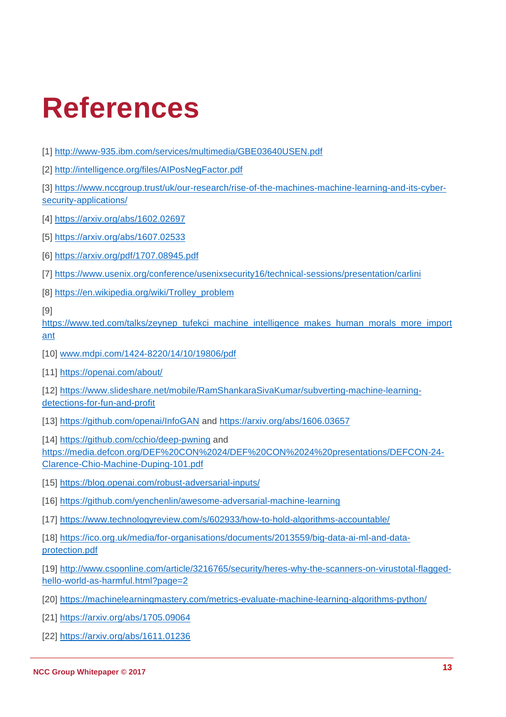### **References**

[1] <http://www-935.ibm.com/services/multimedia/GBE03640USEN.pdf>

[2] <http://intelligence.org/files/AIPosNegFactor.pdf>

[3] [https://www.nccgroup.trust/uk/our-research/rise-of-the-machines-machine-learning-and-its-cyber](https://www.nccgroup.trust/uk/our-research/rise-of-the-machines-machine-learning-and-its-cyber-security-applications/)[security-applications/](https://www.nccgroup.trust/uk/our-research/rise-of-the-machines-machine-learning-and-its-cyber-security-applications/)

[4] <https://arxiv.org/abs/1602.02697>

[5]<https://arxiv.org/abs/1607.02533>

[6] <https://arxiv.org/pdf/1707.08945.pdf>

[7]<https://www.usenix.org/conference/usenixsecurity16/technical-sessions/presentation/carlini>

[8] [https://en.wikipedia.org/wiki/Trolley\\_problem](https://en.wikipedia.org/wiki/Trolley_problem)

[9]

[https://www.ted.com/talks/zeynep\\_tufekci\\_machine\\_intelligence\\_makes\\_human\\_morals\\_more\\_import](https://www.ted.com/talks/zeynep_tufekci_machine_intelligence_makes_human_morals_more_important) [ant](https://www.ted.com/talks/zeynep_tufekci_machine_intelligence_makes_human_morals_more_important)

[10] [www.mdpi.com/1424-8220/14/10/19806/pdf](http://www.mdpi.com/1424-8220/14/10/19806/pdf)

[11] https://openai.com/about/

[12] [https://www.slideshare.net/mobile/RamShankaraSivaKumar/subverting-machine-learning](https://www.slideshare.net/mobile/RamShankaraSivaKumar/subverting-machine-learning-detections-for-fun-and-profit)[detections-for-fun-and-profit](https://www.slideshare.net/mobile/RamShankaraSivaKumar/subverting-machine-learning-detections-for-fun-and-profit)

[13]<https://github.com/openai/InfoGAN> and<https://arxiv.org/abs/1606.03657>

[14]<https://github.com/cchio/deep-pwning> and

[https://media.defcon.org/DEF%20CON%2024/DEF%20CON%2024%20presentations/DEFCON-24-](https://media.defcon.org/DEF%20CON%2024/DEF%20CON%2024%20presentations/DEFCON-24-Clarence-Chio-Machine-Duping-101.pdf) [Clarence-Chio-Machine-Duping-101.pdf](https://media.defcon.org/DEF%20CON%2024/DEF%20CON%2024%20presentations/DEFCON-24-Clarence-Chio-Machine-Duping-101.pdf) 

[15]<https://blog.openai.com/robust-adversarial-inputs/>

[16]<https://github.com/yenchenlin/awesome-adversarial-machine-learning>

[17]<https://www.technologyreview.com/s/602933/how-to-hold-algorithms-accountable/>

[18] [https://ico.org.uk/media/for-organisations/documents/2013559/big-data-ai-ml-and-data](https://ico.org.uk/media/for-organisations/documents/2013559/big-data-ai-ml-and-data-protection.pdf)[protection.pdf](https://ico.org.uk/media/for-organisations/documents/2013559/big-data-ai-ml-and-data-protection.pdf)

[19] [http://www.csoonline.com/article/3216765/security/heres-why-the-scanners-on-virustotal-flagged](http://www.csoonline.com/article/3216765/security/heres-why-the-scanners-on-virustotal-flagged-hello-world-as-harmful.html?page=2)[hello-world-as-harmful.html?page=2](http://www.csoonline.com/article/3216765/security/heres-why-the-scanners-on-virustotal-flagged-hello-world-as-harmful.html?page=2)

[20]<https://machinelearningmastery.com/metrics-evaluate-machine-learning-algorithms-python/>

[21]<https://arxiv.org/abs/1705.09064>

[22]<https://arxiv.org/abs/1611.01236>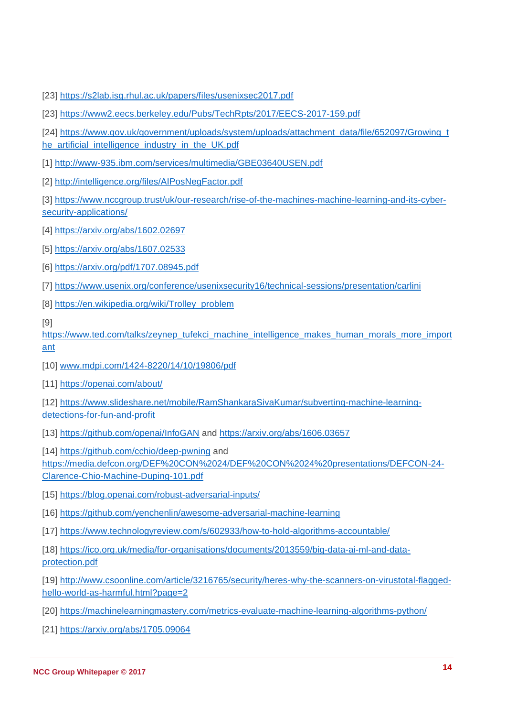- [23]<https://s2lab.isg.rhul.ac.uk/papers/files/usenixsec2017.pdf>
- [23] <https://www2.eecs.berkeley.edu/Pubs/TechRpts/2017/EECS-2017-159.pdf>
- [24] [https://www.gov.uk/government/uploads/system/uploads/attachment\\_data/file/652097/Growing\\_t](https://www.gov.uk/government/uploads/system/uploads/attachment_data/file/652097/Growing_the_artificial_intelligence_industry_in_the_UK.pdf) [he\\_artificial\\_intelligence\\_industry\\_in\\_the\\_UK.pdf](https://www.gov.uk/government/uploads/system/uploads/attachment_data/file/652097/Growing_the_artificial_intelligence_industry_in_the_UK.pdf)
- [1] <http://www-935.ibm.com/services/multimedia/GBE03640USEN.pdf>
- [2] <http://intelligence.org/files/AIPosNegFactor.pdf>

[3] [https://www.nccgroup.trust/uk/our-research/rise-of-the-machines-machine-learning-and-its-cyber](https://www.nccgroup.trust/uk/our-research/rise-of-the-machines-machine-learning-and-its-cyber-security-applications/)[security-applications/](https://www.nccgroup.trust/uk/our-research/rise-of-the-machines-machine-learning-and-its-cyber-security-applications/)

- [4] <https://arxiv.org/abs/1602.02697>
- [5]<https://arxiv.org/abs/1607.02533>
- [6] <https://arxiv.org/pdf/1707.08945.pdf>
- [7]<https://www.usenix.org/conference/usenixsecurity16/technical-sessions/presentation/carlini>
- [8] [https://en.wikipedia.org/wiki/Trolley\\_problem](https://en.wikipedia.org/wiki/Trolley_problem)

[9]

[https://www.ted.com/talks/zeynep\\_tufekci\\_machine\\_intelligence\\_makes\\_human\\_morals\\_more\\_import](https://www.ted.com/talks/zeynep_tufekci_machine_intelligence_makes_human_morals_more_important) [ant](https://www.ted.com/talks/zeynep_tufekci_machine_intelligence_makes_human_morals_more_important)

- [10] [www.mdpi.com/1424-8220/14/10/19806/pdf](http://www.mdpi.com/1424-8220/14/10/19806/pdf)
- [11]<https://openai.com/about/>

[12] [https://www.slideshare.net/mobile/RamShankaraSivaKumar/subverting-machine-learning](https://www.slideshare.net/mobile/RamShankaraSivaKumar/subverting-machine-learning-detections-for-fun-and-profit)[detections-for-fun-and-profit](https://www.slideshare.net/mobile/RamShankaraSivaKumar/subverting-machine-learning-detections-for-fun-and-profit)

[13]<https://github.com/openai/InfoGAN> and<https://arxiv.org/abs/1606.03657>

[14]<https://github.com/cchio/deep-pwning> and

[https://media.defcon.org/DEF%20CON%2024/DEF%20CON%2024%20presentations/DEFCON-24-](https://media.defcon.org/DEF%20CON%2024/DEF%20CON%2024%20presentations/DEFCON-24-Clarence-Chio-Machine-Duping-101.pdf) [Clarence-Chio-Machine-Duping-101.pdf](https://media.defcon.org/DEF%20CON%2024/DEF%20CON%2024%20presentations/DEFCON-24-Clarence-Chio-Machine-Duping-101.pdf) 

- [15]<https://blog.openai.com/robust-adversarial-inputs/>
- [16]<https://github.com/yenchenlin/awesome-adversarial-machine-learning>
- [17]<https://www.technologyreview.com/s/602933/how-to-hold-algorithms-accountable/>

[18] [https://ico.org.uk/media/for-organisations/documents/2013559/big-data-ai-ml-and-data](https://ico.org.uk/media/for-organisations/documents/2013559/big-data-ai-ml-and-data-protection.pdf)[protection.pdf](https://ico.org.uk/media/for-organisations/documents/2013559/big-data-ai-ml-and-data-protection.pdf)

[19] [http://www.csoonline.com/article/3216765/security/heres-why-the-scanners-on-virustotal-flagged](http://www.csoonline.com/article/3216765/security/heres-why-the-scanners-on-virustotal-flagged-hello-world-as-harmful.html?page=2)[hello-world-as-harmful.html?page=2](http://www.csoonline.com/article/3216765/security/heres-why-the-scanners-on-virustotal-flagged-hello-world-as-harmful.html?page=2)

- [20]<https://machinelearningmastery.com/metrics-evaluate-machine-learning-algorithms-python/>
- [21]<https://arxiv.org/abs/1705.09064>